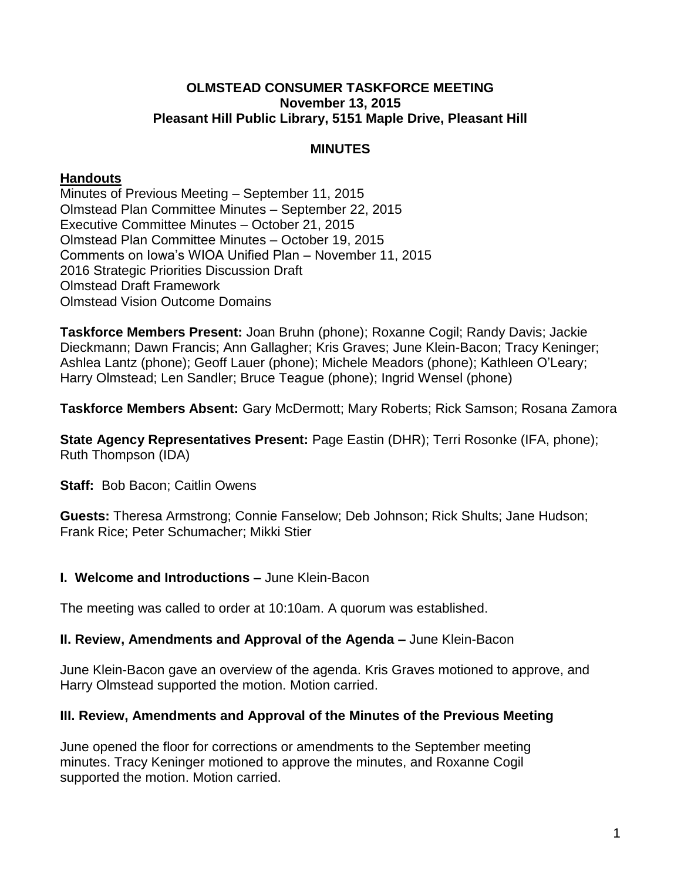#### **OLMSTEAD CONSUMER TASKFORCE MEETING November 13, 2015 Pleasant Hill Public Library, 5151 Maple Drive, Pleasant Hill**

# **MINUTES**

## **Handouts**

Minutes of Previous Meeting – September 11, 2015 Olmstead Plan Committee Minutes – September 22, 2015 Executive Committee Minutes – October 21, 2015 Olmstead Plan Committee Minutes – October 19, 2015 Comments on Iowa's WIOA Unified Plan – November 11, 2015 2016 Strategic Priorities Discussion Draft Olmstead Draft Framework Olmstead Vision Outcome Domains

**Taskforce Members Present:** Joan Bruhn (phone); Roxanne Cogil; Randy Davis; Jackie Dieckmann; Dawn Francis; Ann Gallagher; Kris Graves; June Klein-Bacon; Tracy Keninger; Ashlea Lantz (phone); Geoff Lauer (phone); Michele Meadors (phone); Kathleen O'Leary; Harry Olmstead; Len Sandler; Bruce Teague (phone); Ingrid Wensel (phone)

**Taskforce Members Absent:** Gary McDermott; Mary Roberts; Rick Samson; Rosana Zamora

**State Agency Representatives Present: Page Eastin (DHR); Terri Rosonke (IFA, phone);** Ruth Thompson (IDA)

**Staff: Bob Bacon; Caitlin Owens** 

**Guests:** Theresa Armstrong; Connie Fanselow; Deb Johnson; Rick Shults; Jane Hudson; Frank Rice; Peter Schumacher; Mikki Stier

### **I. Welcome and Introductions –** June Klein-Bacon

The meeting was called to order at 10:10am. A quorum was established.

### **II. Review, Amendments and Approval of the Agenda –** June Klein-Bacon

June Klein-Bacon gave an overview of the agenda. Kris Graves motioned to approve, and Harry Olmstead supported the motion. Motion carried.

### **III. Review, Amendments and Approval of the Minutes of the Previous Meeting**

June opened the floor for corrections or amendments to the September meeting minutes. Tracy Keninger motioned to approve the minutes, and Roxanne Cogil supported the motion. Motion carried.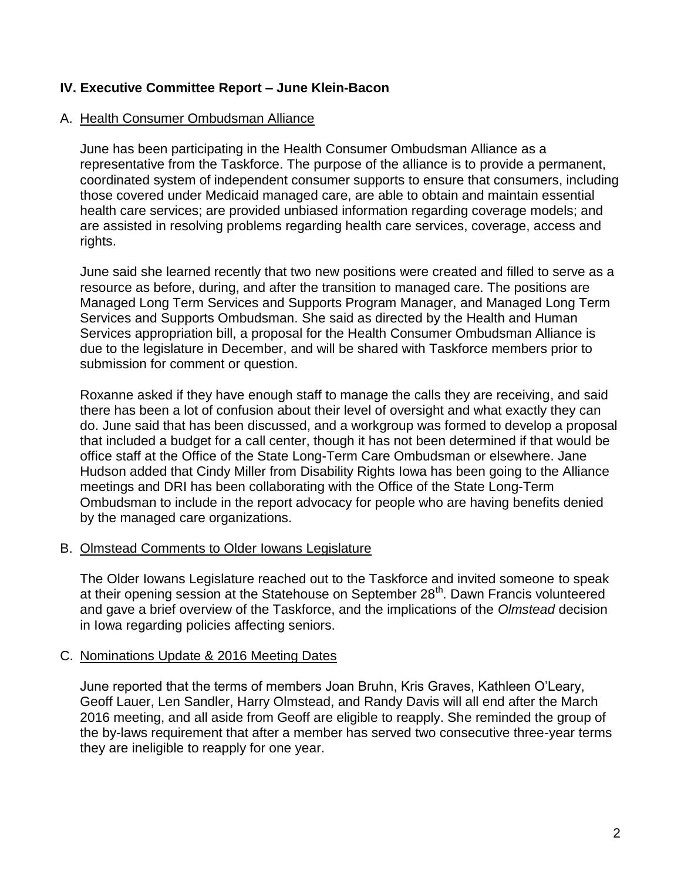## **IV. Executive Committee Report – June Klein-Bacon**

#### A. Health Consumer Ombudsman Alliance

June has been participating in the Health Consumer Ombudsman Alliance as a representative from the Taskforce. The purpose of the alliance is to provide a permanent, coordinated system of independent consumer supports to ensure that consumers, including those covered under Medicaid managed care, are able to obtain and maintain essential health care services; are provided unbiased information regarding coverage models; and are assisted in resolving problems regarding health care services, coverage, access and rights.

June said she learned recently that two new positions were created and filled to serve as a resource as before, during, and after the transition to managed care. The positions are Managed Long Term Services and Supports Program Manager, and Managed Long Term Services and Supports Ombudsman. She said as directed by the Health and Human Services appropriation bill, a proposal for the Health Consumer Ombudsman Alliance is due to the legislature in December, and will be shared with Taskforce members prior to submission for comment or question.

Roxanne asked if they have enough staff to manage the calls they are receiving, and said there has been a lot of confusion about their level of oversight and what exactly they can do. June said that has been discussed, and a workgroup was formed to develop a proposal that included a budget for a call center, though it has not been determined if that would be office staff at the Office of the State Long-Term Care Ombudsman or elsewhere. Jane Hudson added that Cindy Miller from Disability Rights Iowa has been going to the Alliance meetings and DRI has been collaborating with the Office of the State Long-Term Ombudsman to include in the report advocacy for people who are having benefits denied by the managed care organizations.

#### B. Olmstead Comments to Older Iowans Legislature

The Older Iowans Legislature reached out to the Taskforce and invited someone to speak at their opening session at the Statehouse on September 28<sup>th</sup>. Dawn Francis volunteered and gave a brief overview of the Taskforce, and the implications of the *Olmstead* decision in Iowa regarding policies affecting seniors.

#### C. Nominations Update & 2016 Meeting Dates

June reported that the terms of members Joan Bruhn, Kris Graves, Kathleen O'Leary, Geoff Lauer, Len Sandler, Harry Olmstead, and Randy Davis will all end after the March 2016 meeting, and all aside from Geoff are eligible to reapply. She reminded the group of the by-laws requirement that after a member has served two consecutive three-year terms they are ineligible to reapply for one year.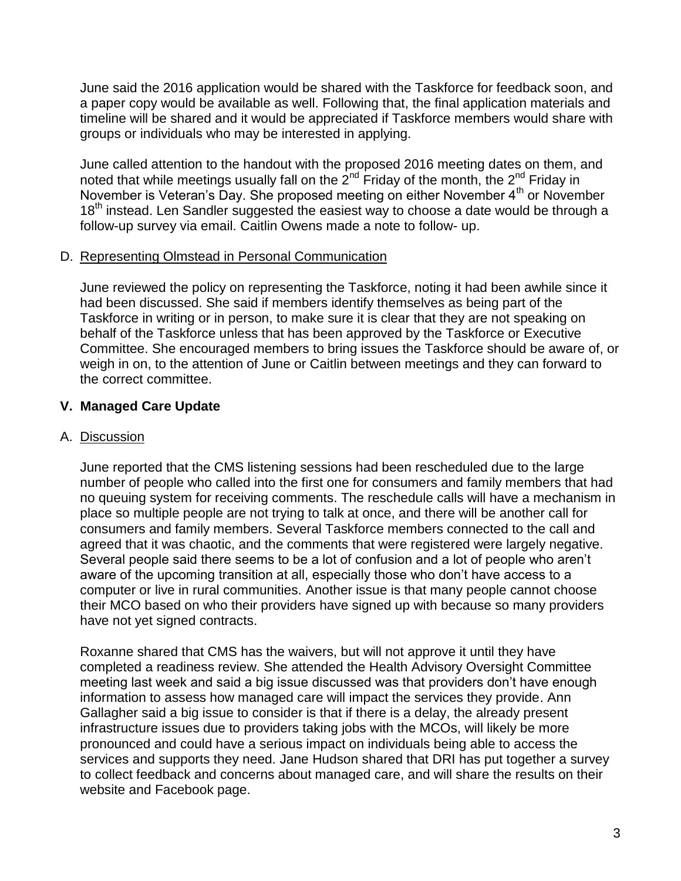June said the 2016 application would be shared with the Taskforce for feedback soon, and a paper copy would be available as well. Following that, the final application materials and timeline will be shared and it would be appreciated if Taskforce members would share with groups or individuals who may be interested in applying.

June called attention to the handout with the proposed 2016 meeting dates on them, and noted that while meetings usually fall on the  $2^{nd}$  Friday of the month, the  $2^{nd}$  Friday in November is Veteran's Day. She proposed meeting on either November 4<sup>th</sup> or November 18<sup>th</sup> instead. Len Sandler suggested the easiest way to choose a date would be through a follow-up survey via email. Caitlin Owens made a note to follow- up.

### D. Representing Olmstead in Personal Communication

June reviewed the policy on representing the Taskforce, noting it had been awhile since it had been discussed. She said if members identify themselves as being part of the Taskforce in writing or in person, to make sure it is clear that they are not speaking on behalf of the Taskforce unless that has been approved by the Taskforce or Executive Committee. She encouraged members to bring issues the Taskforce should be aware of, or weigh in on, to the attention of June or Caitlin between meetings and they can forward to the correct committee.

# **V. Managed Care Update**

# A. Discussion

June reported that the CMS listening sessions had been rescheduled due to the large number of people who called into the first one for consumers and family members that had no queuing system for receiving comments. The reschedule calls will have a mechanism in place so multiple people are not trying to talk at once, and there will be another call for consumers and family members. Several Taskforce members connected to the call and agreed that it was chaotic, and the comments that were registered were largely negative. Several people said there seems to be a lot of confusion and a lot of people who aren't aware of the upcoming transition at all, especially those who don't have access to a computer or live in rural communities. Another issue is that many people cannot choose their MCO based on who their providers have signed up with because so many providers have not yet signed contracts.

Roxanne shared that CMS has the waivers, but will not approve it until they have completed a readiness review. She attended the Health Advisory Oversight Committee meeting last week and said a big issue discussed was that providers don't have enough information to assess how managed care will impact the services they provide. Ann Gallagher said a big issue to consider is that if there is a delay, the already present infrastructure issues due to providers taking jobs with the MCOs, will likely be more pronounced and could have a serious impact on individuals being able to access the services and supports they need. Jane Hudson shared that DRI has put together a survey to collect feedback and concerns about managed care, and will share the results on their website and Facebook page.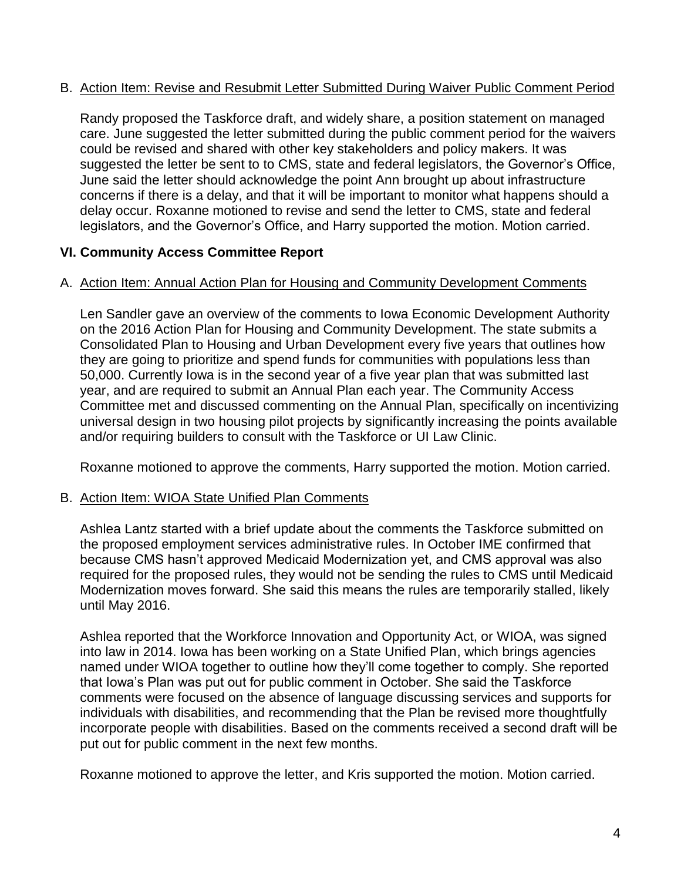## B. Action Item: Revise and Resubmit Letter Submitted During Waiver Public Comment Period

Randy proposed the Taskforce draft, and widely share, a position statement on managed care. June suggested the letter submitted during the public comment period for the waivers could be revised and shared with other key stakeholders and policy makers. It was suggested the letter be sent to to CMS, state and federal legislators, the Governor's Office, June said the letter should acknowledge the point Ann brought up about infrastructure concerns if there is a delay, and that it will be important to monitor what happens should a delay occur. Roxanne motioned to revise and send the letter to CMS, state and federal legislators, and the Governor's Office, and Harry supported the motion. Motion carried.

# **VI. Community Access Committee Report**

### A. Action Item: Annual Action Plan for Housing and Community Development Comments

Len Sandler gave an overview of the comments to Iowa Economic Development Authority on the 2016 Action Plan for Housing and Community Development. The state submits a Consolidated Plan to Housing and Urban Development every five years that outlines how they are going to prioritize and spend funds for communities with populations less than 50,000. Currently Iowa is in the second year of a five year plan that was submitted last year, and are required to submit an Annual Plan each year. The Community Access Committee met and discussed commenting on the Annual Plan, specifically on incentivizing universal design in two housing pilot projects by significantly increasing the points available and/or requiring builders to consult with the Taskforce or UI Law Clinic.

Roxanne motioned to approve the comments, Harry supported the motion. Motion carried.

### B. Action Item: WIOA State Unified Plan Comments

Ashlea Lantz started with a brief update about the comments the Taskforce submitted on the proposed employment services administrative rules. In October IME confirmed that because CMS hasn't approved Medicaid Modernization yet, and CMS approval was also required for the proposed rules, they would not be sending the rules to CMS until Medicaid Modernization moves forward. She said this means the rules are temporarily stalled, likely until May 2016.

Ashlea reported that the Workforce Innovation and Opportunity Act, or WIOA, was signed into law in 2014. Iowa has been working on a State Unified Plan, which brings agencies named under WIOA together to outline how they'll come together to comply. She reported that Iowa's Plan was put out for public comment in October. She said the Taskforce comments were focused on the absence of language discussing services and supports for individuals with disabilities, and recommending that the Plan be revised more thoughtfully incorporate people with disabilities. Based on the comments received a second draft will be put out for public comment in the next few months.

Roxanne motioned to approve the letter, and Kris supported the motion. Motion carried.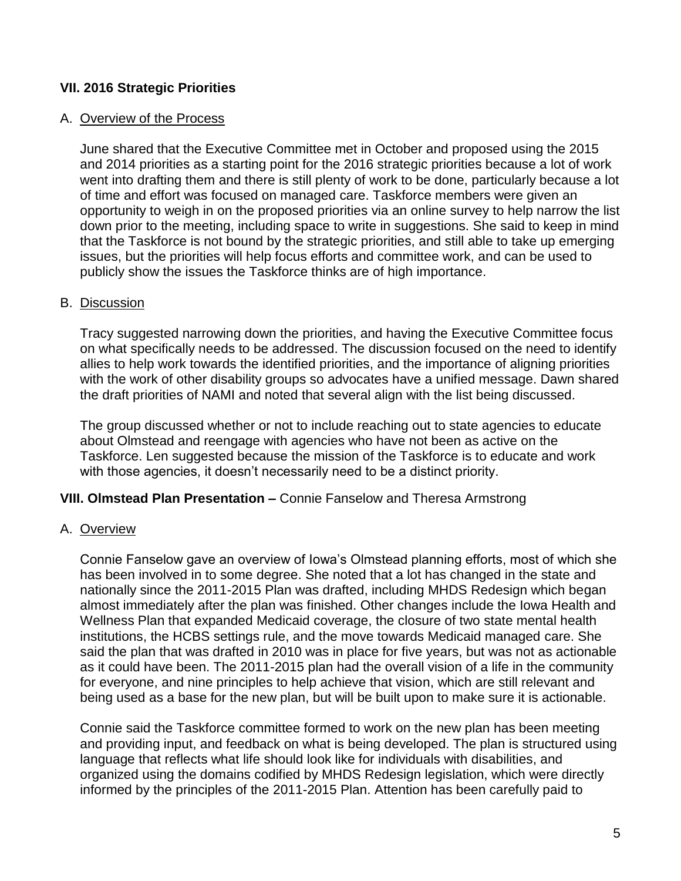# **VII. 2016 Strategic Priorities**

#### A. Overview of the Process

June shared that the Executive Committee met in October and proposed using the 2015 and 2014 priorities as a starting point for the 2016 strategic priorities because a lot of work went into drafting them and there is still plenty of work to be done, particularly because a lot of time and effort was focused on managed care. Taskforce members were given an opportunity to weigh in on the proposed priorities via an online survey to help narrow the list down prior to the meeting, including space to write in suggestions. She said to keep in mind that the Taskforce is not bound by the strategic priorities, and still able to take up emerging issues, but the priorities will help focus efforts and committee work, and can be used to publicly show the issues the Taskforce thinks are of high importance.

#### B. Discussion

Tracy suggested narrowing down the priorities, and having the Executive Committee focus on what specifically needs to be addressed. The discussion focused on the need to identify allies to help work towards the identified priorities, and the importance of aligning priorities with the work of other disability groups so advocates have a unified message. Dawn shared the draft priorities of NAMI and noted that several align with the list being discussed.

The group discussed whether or not to include reaching out to state agencies to educate about Olmstead and reengage with agencies who have not been as active on the Taskforce. Len suggested because the mission of the Taskforce is to educate and work with those agencies, it doesn't necessarily need to be a distinct priority.

### **VIII. Olmstead Plan Presentation –** Connie Fanselow and Theresa Armstrong

#### A. Overview

Connie Fanselow gave an overview of Iowa's Olmstead planning efforts, most of which she has been involved in to some degree. She noted that a lot has changed in the state and nationally since the 2011-2015 Plan was drafted, including MHDS Redesign which began almost immediately after the plan was finished. Other changes include the Iowa Health and Wellness Plan that expanded Medicaid coverage, the closure of two state mental health institutions, the HCBS settings rule, and the move towards Medicaid managed care. She said the plan that was drafted in 2010 was in place for five years, but was not as actionable as it could have been. The 2011-2015 plan had the overall vision of a life in the community for everyone, and nine principles to help achieve that vision, which are still relevant and being used as a base for the new plan, but will be built upon to make sure it is actionable.

Connie said the Taskforce committee formed to work on the new plan has been meeting and providing input, and feedback on what is being developed. The plan is structured using language that reflects what life should look like for individuals with disabilities, and organized using the domains codified by MHDS Redesign legislation, which were directly informed by the principles of the 2011-2015 Plan. Attention has been carefully paid to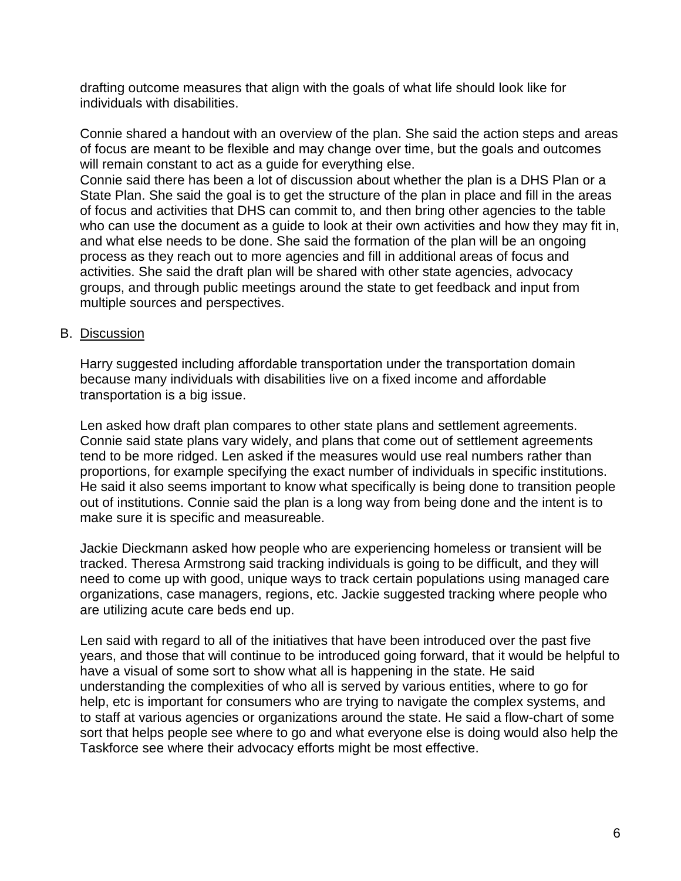drafting outcome measures that align with the goals of what life should look like for individuals with disabilities.

Connie shared a handout with an overview of the plan. She said the action steps and areas of focus are meant to be flexible and may change over time, but the goals and outcomes will remain constant to act as a guide for everything else.

Connie said there has been a lot of discussion about whether the plan is a DHS Plan or a State Plan. She said the goal is to get the structure of the plan in place and fill in the areas of focus and activities that DHS can commit to, and then bring other agencies to the table who can use the document as a guide to look at their own activities and how they may fit in, and what else needs to be done. She said the formation of the plan will be an ongoing process as they reach out to more agencies and fill in additional areas of focus and activities. She said the draft plan will be shared with other state agencies, advocacy groups, and through public meetings around the state to get feedback and input from multiple sources and perspectives.

## B. Discussion

Harry suggested including affordable transportation under the transportation domain because many individuals with disabilities live on a fixed income and affordable transportation is a big issue.

Len asked how draft plan compares to other state plans and settlement agreements. Connie said state plans vary widely, and plans that come out of settlement agreements tend to be more ridged. Len asked if the measures would use real numbers rather than proportions, for example specifying the exact number of individuals in specific institutions. He said it also seems important to know what specifically is being done to transition people out of institutions. Connie said the plan is a long way from being done and the intent is to make sure it is specific and measureable.

Jackie Dieckmann asked how people who are experiencing homeless or transient will be tracked. Theresa Armstrong said tracking individuals is going to be difficult, and they will need to come up with good, unique ways to track certain populations using managed care organizations, case managers, regions, etc. Jackie suggested tracking where people who are utilizing acute care beds end up.

Len said with regard to all of the initiatives that have been introduced over the past five years, and those that will continue to be introduced going forward, that it would be helpful to have a visual of some sort to show what all is happening in the state. He said understanding the complexities of who all is served by various entities, where to go for help, etc is important for consumers who are trying to navigate the complex systems, and to staff at various agencies or organizations around the state. He said a flow-chart of some sort that helps people see where to go and what everyone else is doing would also help the Taskforce see where their advocacy efforts might be most effective.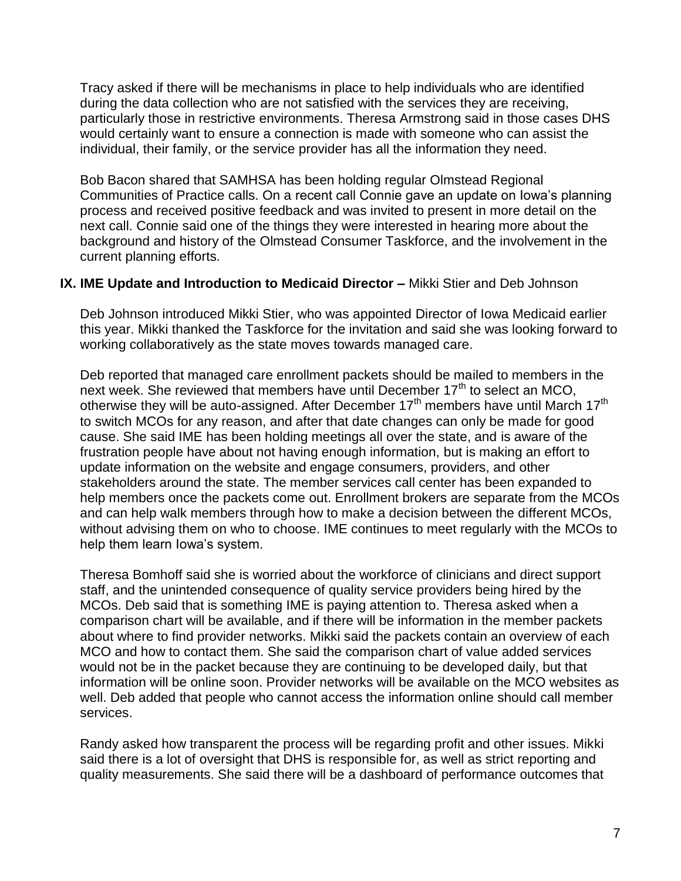Tracy asked if there will be mechanisms in place to help individuals who are identified during the data collection who are not satisfied with the services they are receiving, particularly those in restrictive environments. Theresa Armstrong said in those cases DHS would certainly want to ensure a connection is made with someone who can assist the individual, their family, or the service provider has all the information they need.

Bob Bacon shared that SAMHSA has been holding regular Olmstead Regional Communities of Practice calls. On a recent call Connie gave an update on Iowa's planning process and received positive feedback and was invited to present in more detail on the next call. Connie said one of the things they were interested in hearing more about the background and history of the Olmstead Consumer Taskforce, and the involvement in the current planning efforts.

### **IX. IME Update and Introduction to Medicaid Director –** Mikki Stier and Deb Johnson

Deb Johnson introduced Mikki Stier, who was appointed Director of Iowa Medicaid earlier this year. Mikki thanked the Taskforce for the invitation and said she was looking forward to working collaboratively as the state moves towards managed care.

Deb reported that managed care enrollment packets should be mailed to members in the next week. She reviewed that members have until December 17<sup>th</sup> to select an MCO, otherwise they will be auto-assigned. After December  $17<sup>th</sup>$  members have until March  $17<sup>th</sup>$ to switch MCOs for any reason, and after that date changes can only be made for good cause. She said IME has been holding meetings all over the state, and is aware of the frustration people have about not having enough information, but is making an effort to update information on the website and engage consumers, providers, and other stakeholders around the state. The member services call center has been expanded to help members once the packets come out. Enrollment brokers are separate from the MCOs and can help walk members through how to make a decision between the different MCOs, without advising them on who to choose. IME continues to meet regularly with the MCOs to help them learn Iowa's system.

Theresa Bomhoff said she is worried about the workforce of clinicians and direct support staff, and the unintended consequence of quality service providers being hired by the MCOs. Deb said that is something IME is paying attention to. Theresa asked when a comparison chart will be available, and if there will be information in the member packets about where to find provider networks. Mikki said the packets contain an overview of each MCO and how to contact them. She said the comparison chart of value added services would not be in the packet because they are continuing to be developed daily, but that information will be online soon. Provider networks will be available on the MCO websites as well. Deb added that people who cannot access the information online should call member services.

Randy asked how transparent the process will be regarding profit and other issues. Mikki said there is a lot of oversight that DHS is responsible for, as well as strict reporting and quality measurements. She said there will be a dashboard of performance outcomes that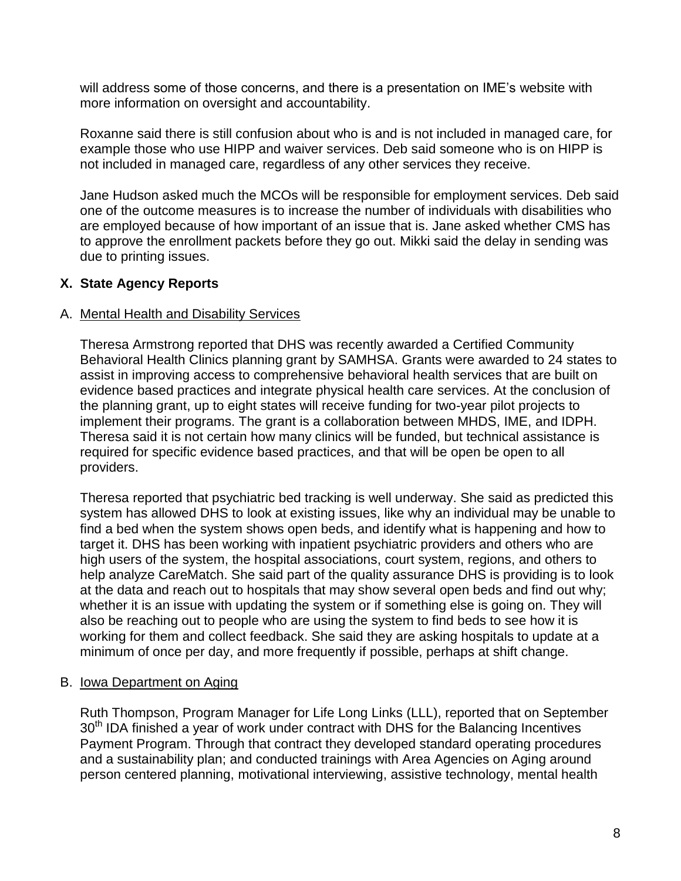will address some of those concerns, and there is a presentation on IME's website with more information on oversight and accountability.

Roxanne said there is still confusion about who is and is not included in managed care, for example those who use HIPP and waiver services. Deb said someone who is on HIPP is not included in managed care, regardless of any other services they receive.

Jane Hudson asked much the MCOs will be responsible for employment services. Deb said one of the outcome measures is to increase the number of individuals with disabilities who are employed because of how important of an issue that is. Jane asked whether CMS has to approve the enrollment packets before they go out. Mikki said the delay in sending was due to printing issues.

# **X. State Agency Reports**

### A. Mental Health and Disability Services

Theresa Armstrong reported that DHS was recently awarded a Certified Community Behavioral Health Clinics planning grant by SAMHSA. Grants were awarded to 24 states to assist in improving access to comprehensive behavioral health services that are built on evidence based practices and integrate physical health care services. At the conclusion of the planning grant, up to eight states will receive funding for two-year pilot projects to implement their programs. The grant is a collaboration between MHDS, IME, and IDPH. Theresa said it is not certain how many clinics will be funded, but technical assistance is required for specific evidence based practices, and that will be open be open to all providers.

Theresa reported that psychiatric bed tracking is well underway. She said as predicted this system has allowed DHS to look at existing issues, like why an individual may be unable to find a bed when the system shows open beds, and identify what is happening and how to target it. DHS has been working with inpatient psychiatric providers and others who are high users of the system, the hospital associations, court system, regions, and others to help analyze CareMatch. She said part of the quality assurance DHS is providing is to look at the data and reach out to hospitals that may show several open beds and find out why; whether it is an issue with updating the system or if something else is going on. They will also be reaching out to people who are using the system to find beds to see how it is working for them and collect feedback. She said they are asking hospitals to update at a minimum of once per day, and more frequently if possible, perhaps at shift change.

# B. Iowa Department on Aging

Ruth Thompson, Program Manager for Life Long Links (LLL), reported that on September 30<sup>th</sup> IDA finished a year of work under contract with DHS for the Balancing Incentives Payment Program. Through that contract they developed standard operating procedures and a sustainability plan; and conducted trainings with Area Agencies on Aging around person centered planning, motivational interviewing, assistive technology, mental health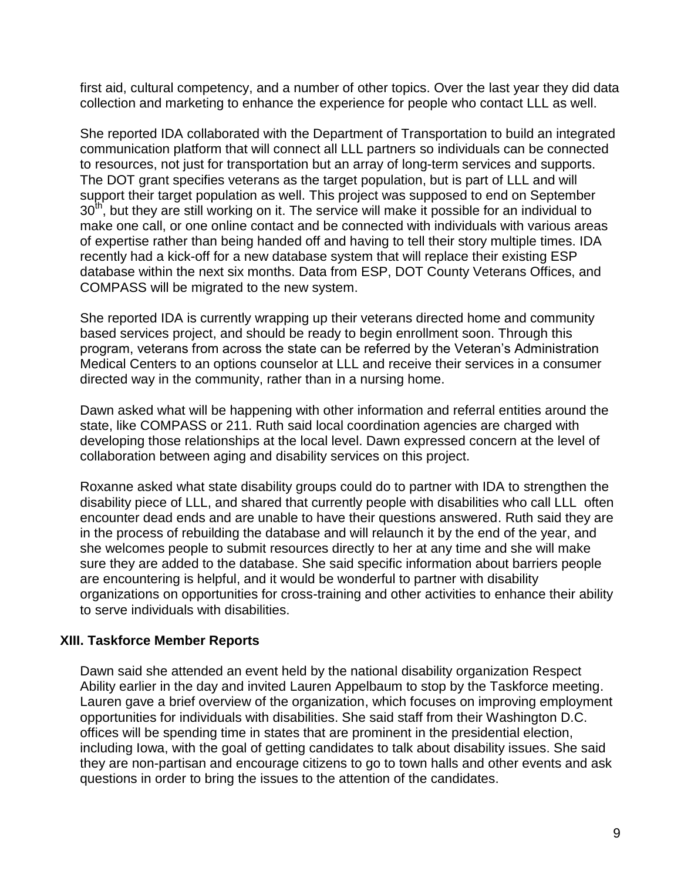first aid, cultural competency, and a number of other topics. Over the last year they did data collection and marketing to enhance the experience for people who contact LLL as well.

She reported IDA collaborated with the Department of Transportation to build an integrated communication platform that will connect all LLL partners so individuals can be connected to resources, not just for transportation but an array of long-term services and supports. The DOT grant specifies veterans as the target population, but is part of LLL and will support their target population as well. This project was supposed to end on September  $30<sup>th</sup>$ , but they are still working on it. The service will make it possible for an individual to make one call, or one online contact and be connected with individuals with various areas of expertise rather than being handed off and having to tell their story multiple times. IDA recently had a kick-off for a new database system that will replace their existing ESP database within the next six months. Data from ESP, DOT County Veterans Offices, and COMPASS will be migrated to the new system.

She reported IDA is currently wrapping up their veterans directed home and community based services project, and should be ready to begin enrollment soon. Through this program, veterans from across the state can be referred by the Veteran's Administration Medical Centers to an options counselor at LLL and receive their services in a consumer directed way in the community, rather than in a nursing home.

Dawn asked what will be happening with other information and referral entities around the state, like COMPASS or 211. Ruth said local coordination agencies are charged with developing those relationships at the local level. Dawn expressed concern at the level of collaboration between aging and disability services on this project.

Roxanne asked what state disability groups could do to partner with IDA to strengthen the disability piece of LLL, and shared that currently people with disabilities who call LLL often encounter dead ends and are unable to have their questions answered. Ruth said they are in the process of rebuilding the database and will relaunch it by the end of the year, and she welcomes people to submit resources directly to her at any time and she will make sure they are added to the database. She said specific information about barriers people are encountering is helpful, and it would be wonderful to partner with disability organizations on opportunities for cross-training and other activities to enhance their ability to serve individuals with disabilities.

# **XIII. Taskforce Member Reports**

Dawn said she attended an event held by the national disability organization Respect Ability earlier in the day and invited Lauren Appelbaum to stop by the Taskforce meeting. Lauren gave a brief overview of the organization, which focuses on improving employment opportunities for individuals with disabilities. She said staff from their Washington D.C. offices will be spending time in states that are prominent in the presidential election, including Iowa, with the goal of getting candidates to talk about disability issues. She said they are non-partisan and encourage citizens to go to town halls and other events and ask questions in order to bring the issues to the attention of the candidates.